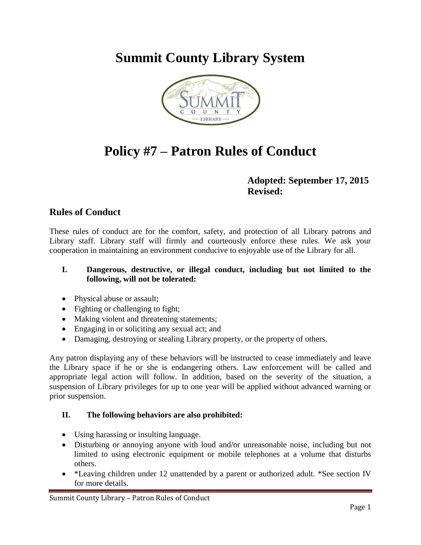## **Summit County Library System**



# **Policy #7 – Patron Rules of Conduct**

## **Adopted: September 17, 2015 Revised:**

## **Rules of Conduct**

These rules of conduct are for the comfort, safety, and protection of all Library patrons and Library staff. Library staff will firmly and courteously enforce these rules. We ask your cooperation in maintaining an environment conducive to enjoyable use of the Library for all.

#### **I. Dangerous, destructive, or illegal conduct, including but not limited to the following, will not be tolerated:**

- Physical abuse or assault;
- Fighting or challenging to fight;
- Making violent and threatening statements;
- Engaging in or soliciting any sexual act; and
- Damaging, destroying or stealing Library property, or the property of others.

Any patron displaying any of these behaviors will be instructed to cease immediately and leave the Library space if he or she is endangering others. Law enforcement will be called and appropriate legal action will follow. In addition, based on the severity of the situation, a suspension of Library privileges for up to one year will be applied without advanced warning or prior suspension.

### **II. The following behaviors are also prohibited:**

- Using harassing or insulting language.
- Disturbing or annoying anyone with loud and/or unreasonable noise, including but not limited to using electronic equipment or mobile telephones at a volume that disturbs others.
- \*Leaving children under 12 unattended by a parent or authorized adult. \*See section IV for more details.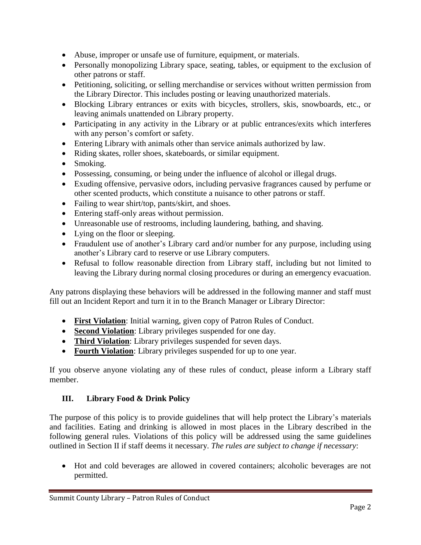- Abuse, improper or unsafe use of furniture, equipment, or materials.
- Personally monopolizing Library space, seating, tables, or equipment to the exclusion of other patrons or staff.
- Petitioning, soliciting, or selling merchandise or services without written permission from the Library Director. This includes posting or leaving unauthorized materials.
- Blocking Library entrances or exits with bicycles, strollers, skis, snowboards, etc., or leaving animals unattended on Library property.
- Participating in any activity in the Library or at public entrances/exits which interferes with any person's comfort or safety.
- Entering Library with animals other than service animals authorized by law.
- Riding skates, roller shoes, skateboards, or similar equipment.
- Smoking.
- Possessing, consuming, or being under the influence of alcohol or illegal drugs.
- Exuding offensive, pervasive odors, including pervasive fragrances caused by perfume or other scented products, which constitute a nuisance to other patrons or staff.
- Failing to wear shirt/top, pants/skirt, and shoes.
- Entering staff-only areas without permission.
- Unreasonable use of restrooms, including laundering, bathing, and shaving.
- Lying on the floor or sleeping.
- Fraudulent use of another's Library card and/or number for any purpose, including using another's Library card to reserve or use Library computers.
- Refusal to follow reasonable direction from Library staff, including but not limited to leaving the Library during normal closing procedures or during an emergency evacuation.

Any patrons displaying these behaviors will be addressed in the following manner and staff must fill out an Incident Report and turn it in to the Branch Manager or Library Director:

- **First Violation**: Initial warning, given copy of Patron Rules of Conduct.
- **Second Violation**: Library privileges suspended for one day.
- **Third Violation**: Library privileges suspended for seven days.
- **Fourth Violation**: Library privileges suspended for up to one year.

If you observe anyone violating any of these rules of conduct, please inform a Library staff member.

#### **III. Library Food & Drink Policy**

The purpose of this policy is to provide guidelines that will help protect the Library's materials and facilities. Eating and drinking is allowed in most places in the Library described in the following general rules. Violations of this policy will be addressed using the same guidelines outlined in Section II if staff deems it necessary. *The rules are subject to change if necessary*:

 Hot and cold beverages are allowed in covered containers; alcoholic beverages are not permitted.